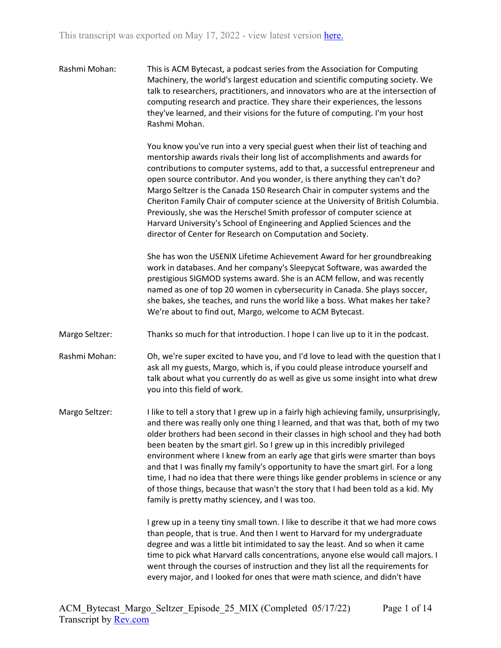Rashmi Mohan: This is ACM Bytecast, a podcast series from the Association for Computing Machinery, the world's largest education and scientific computing society. We talk to researchers, practitioners, and innovators who are at the intersection of computing research and practice. They share their experiences, the lessons they've learned, and their visions for the future of computing. I'm your host Rashmi Mohan.

> You know you've run into a very special guest when their list of teaching and mentorship awards rivals their long list of accomplishments and awards for contributions to computer systems, add to that, a successful entrepreneur and open source contributor. And you wonder, is there anything they can't do? Margo Seltzer is the Canada 150 Research Chair in computer systems and the Cheriton Family Chair of computer science at the University of British Columbia. Previously, she was the Herschel Smith professor of computer science at Harvard University's School of Engineering and Applied Sciences and the director of Center for Research on Computation and Society.

She has won the USENIX Lifetime Achievement Award for her groundbreaking work in databases. And her company's Sleepycat Software, was awarded the prestigious SIGMOD systems award. She is an ACM fellow, and was recently named as one of top 20 women in cybersecurity in Canada. She plays soccer, she bakes, she teaches, and runs the world like a boss. What makes her take? We're about to find out, Margo, welcome to ACM Bytecast.

Margo Seltzer: Thanks so much for that introduction. I hope I can live up to it in the podcast.

Rashmi Mohan: Oh, we're super excited to have you, and I'd love to lead with the question that I ask all my guests, Margo, which is, if you could please introduce yourself and talk about what you currently do as well as give us some insight into what drew you into this field of work.

Margo Seltzer: I like to tell a story that I grew up in a fairly high achieving family, unsurprisingly, and there was really only one thing I learned, and that was that, both of my two older brothers had been second in their classes in high school and they had both been beaten by the smart girl. So I grew up in this incredibly privileged environment where I knew from an early age that girls were smarter than boys and that I was finally my family's opportunity to have the smart girl. For a long time, I had no idea that there were things like gender problems in science or any of those things, because that wasn't the story that I had been told as a kid. My family is pretty mathy sciencey, and I was too.

> I grew up in a teeny tiny small town. I like to describe it that we had more cows than people, that is true. And then I went to Harvard for my undergraduate degree and was a little bit intimidated to say the least. And so when it came time to pick what Harvard calls concentrations, anyone else would call majors. I went through the courses of instruction and they list all the requirements for every major, and I looked for ones that were math science, and didn't have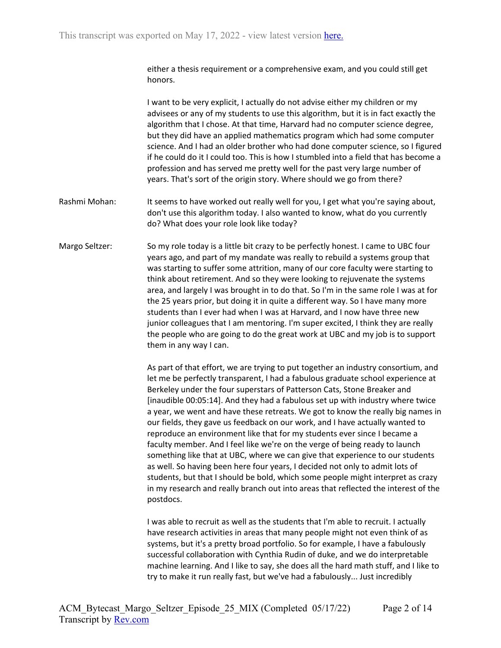either a thesis requirement or a comprehensive exam, and you could still get honors.

I want to be very explicit, I actually do not advise either my children or my advisees or any of my students to use this algorithm, but it is in fact exactly the algorithm that I chose. At that time, Harvard had no computer science degree, but they did have an applied mathematics program which had some computer science. And I had an older brother who had done computer science, so I figured if he could do it I could too. This is how I stumbled into a field that has become a profession and has served me pretty well for the past very large number of years. That's sort of the origin story. Where should we go from there?

- Rashmi Mohan: It seems to have worked out really well for you, I get what you're saying about, don't use this algorithm today. I also wanted to know, what do you currently do? What does your role look like today?
- Margo Seltzer: So my role today is a little bit crazy to be perfectly honest. I came to UBC four years ago, and part of my mandate was really to rebuild a systems group that was starting to suffer some attrition, many of our core faculty were starting to think about retirement. And so they were looking to rejuvenate the systems area, and largely I was brought in to do that. So I'm in the same role I was at for the 25 years prior, but doing it in quite a different way. So I have many more students than I ever had when I was at Harvard, and I now have three new junior colleagues that I am mentoring. I'm super excited, I think they are really the people who are going to do the great work at UBC and my job is to support them in any way I can.

As part of that effort, we are trying to put together an industry consortium, and let me be perfectly transparent, I had a fabulous graduate school experience at Berkeley under the four superstars of Patterson Cats, Stone Breaker and [inaudible 00:05:14]. And they had a fabulous set up with industry where twice a year, we went and have these retreats. We got to know the really big names in our fields, they gave us feedback on our work, and I have actually wanted to reproduce an environment like that for my students ever since I became a faculty member. And I feel like we're on the verge of being ready to launch something like that at UBC, where we can give that experience to our students as well. So having been here four years, I decided not only to admit lots of students, but that I should be bold, which some people might interpret as crazy in my research and really branch out into areas that reflected the interest of the postdocs.

I was able to recruit as well as the students that I'm able to recruit. I actually have research activities in areas that many people might not even think of as systems, but it's a pretty broad portfolio. So for example, I have a fabulously successful collaboration with Cynthia Rudin of duke, and we do interpretable machine learning. And I like to say, she does all the hard math stuff, and I like to try to make it run really fast, but we've had a fabulously... Just incredibly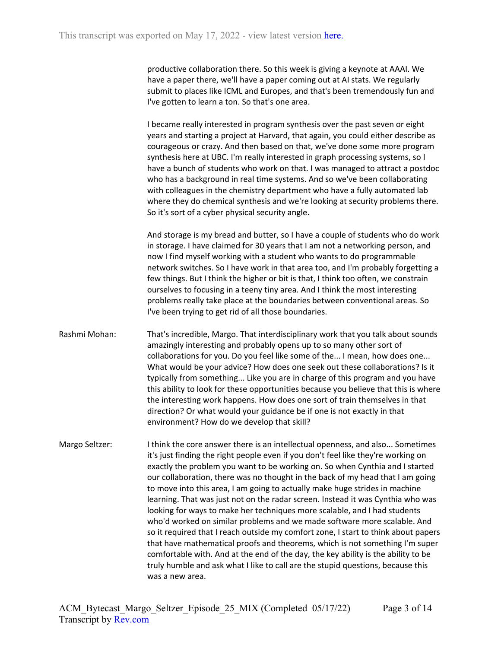productive collaboration there. So this week is giving a keynote at AAAI. We have a paper there, we'll have a paper coming out at AI stats. We regularly submit to places like ICML and Europes, and that's been tremendously fun and I've gotten to learn a ton. So that's one area.

I became really interested in program synthesis over the past seven or eight years and starting a project at Harvard, that again, you could either describe as courageous or crazy. And then based on that, we've done some more program synthesis here at UBC. I'm really interested in graph processing systems, so I have a bunch of students who work on that. I was managed to attract a postdoc who has a background in real time systems. And so we've been collaborating with colleagues in the chemistry department who have a fully automated lab where they do chemical synthesis and we're looking at security problems there. So it's sort of a cyber physical security angle.

And storage is my bread and butter, so I have a couple of students who do work in storage. I have claimed for 30 years that I am not a networking person, and now I find myself working with a student who wants to do programmable network switches. So I have work in that area too, and I'm probably forgetting a few things. But I think the higher or bit is that, I think too often, we constrain ourselves to focusing in a teeny tiny area. And I think the most interesting problems really take place at the boundaries between conventional areas. So I've been trying to get rid of all those boundaries.

- Rashmi Mohan: That's incredible, Margo. That interdisciplinary work that you talk about sounds amazingly interesting and probably opens up to so many other sort of collaborations for you. Do you feel like some of the... I mean, how does one... What would be your advice? How does one seek out these collaborations? Is it typically from something... Like you are in charge of this program and you have this ability to look for these opportunities because you believe that this is where the interesting work happens. How does one sort of train themselves in that direction? Or what would your guidance be if one is not exactly in that environment? How do we develop that skill?
- Margo Seltzer: I think the core answer there is an intellectual openness, and also... Sometimes it's just finding the right people even if you don't feel like they're working on exactly the problem you want to be working on. So when Cynthia and I started our collaboration, there was no thought in the back of my head that I am going to move into this area, I am going to actually make huge strides in machine learning. That was just not on the radar screen. Instead it was Cynthia who was looking for ways to make her techniques more scalable, and I had students who'd worked on similar problems and we made software more scalable. And so it required that I reach outside my comfort zone, I start to think about papers that have mathematical proofs and theorems, which is not something I'm super comfortable with. And at the end of the day, the key ability is the ability to be truly humble and ask what I like to call are the stupid questions, because this was a new area.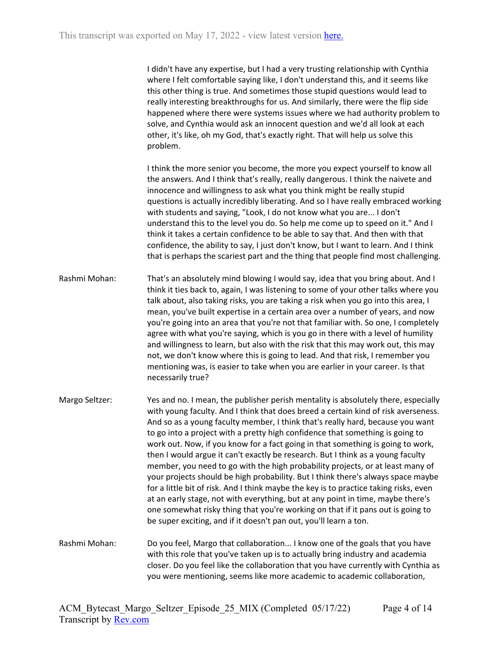I didn't have any expertise, but I had a very trusting relationship with Cynthia where I felt comfortable saying like, I don't understand this, and it seems like this other thing is true. And sometimes those stupid questions would lead to really interesting breakthroughs for us. And similarly, there were the flip side happened where there were systems issues where we had authority problem to solve, and Cynthia would ask an innocent question and we'd all look at each other, it's like, oh my God, that's exactly right. That will help us solve this problem.

I think the more senior you become, the more you expect yourself to know all the answers. And I think that's really, really dangerous. I think the naivete and innocence and willingness to ask what you think might be really stupid questions is actually incredibly liberating. And so I have really embraced working with students and saying, "Look, I do not know what you are... I don't understand this to the level you do. So help me come up to speed on it." And I think it takes a certain confidence to be able to say that. And then with that confidence, the ability to say, I just don't know, but I want to learn. And I think that is perhaps the scariest part and the thing that people find most challenging.

- Rashmi Mohan: That's an absolutely mind blowing I would say, idea that you bring about. And I think it ties back to, again, I was listening to some of your other talks where you talk about, also taking risks, you are taking a risk when you go into this area, I mean, you've built expertise in a certain area over a number of years, and now you're going into an area that you're not that familiar with. So one, I completely agree with what you're saying, which is you go in there with a level of humility and willingness to learn, but also with the risk that this may work out, this may not, we don't know where this is going to lead. And that risk, I remember you mentioning was, is easier to take when you are earlier in your career. Is that necessarily true?
- Margo Seltzer: Yes and no. I mean, the publisher perish mentality is absolutely there, especially with young faculty. And I think that does breed a certain kind of risk averseness. And so as a young faculty member, I think that's really hard, because you want to go into a project with a pretty high confidence that something is going to work out. Now, if you know for a fact going in that something is going to work, then I would argue it can't exactly be research. But I think as a young faculty member, you need to go with the high probability projects, or at least many of your projects should be high probability. But I think there's always space maybe for a little bit of risk. And I think maybe the key is to practice taking risks, even at an early stage, not with everything, but at any point in time, maybe there's one somewhat risky thing that you're working on that if it pans out is going to be super exciting, and if it doesn't pan out, you'll learn a ton.

Rashmi Mohan: Do you feel, Margo that collaboration... I know one of the goals that you have with this role that you've taken up is to actually bring industry and academia closer. Do you feel like the collaboration that you have currently with Cynthia as you were mentioning, seems like more academic to academic collaboration,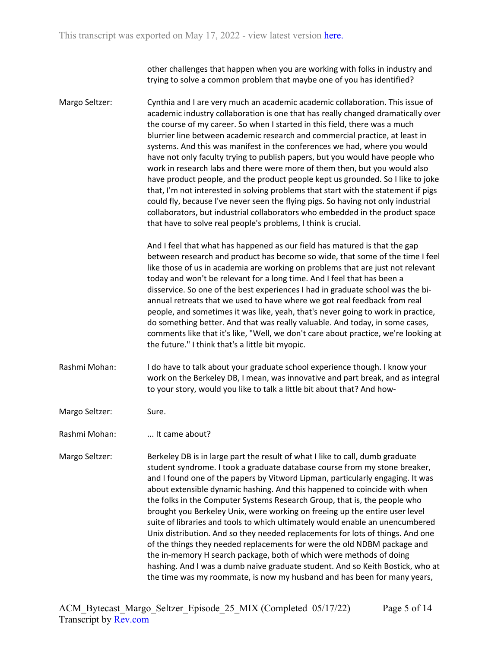other challenges that happen when you are working with folks in industry and trying to solve a common problem that maybe one of you has identified?

Margo Seltzer: Cynthia and I are very much an academic academic collaboration. This issue of academic industry collaboration is one that has really changed dramatically over the course of my career. So when I started in this field, there was a much blurrier line between academic research and commercial practice, at least in systems. And this was manifest in the conferences we had, where you would have not only faculty trying to publish papers, but you would have people who work in research labs and there were more of them then, but you would also have product people, and the product people kept us grounded. So I like to joke that, I'm not interested in solving problems that start with the statement if pigs could fly, because I've never seen the flying pigs. So having not only industrial collaborators, but industrial collaborators who embedded in the product space that have to solve real people's problems, I think is crucial.

> And I feel that what has happened as our field has matured is that the gap between research and product has become so wide, that some of the time I feel like those of us in academia are working on problems that are just not relevant today and won't be relevant for a long time. And I feel that has been a disservice. So one of the best experiences I had in graduate school was the biannual retreats that we used to have where we got real feedback from real people, and sometimes it was like, yeah, that's never going to work in practice, do something better. And that was really valuable. And today, in some cases, comments like that it's like, "Well, we don't care about practice, we're looking at the future." I think that's a little bit myopic.

Rashmi Mohan: I do have to talk about your graduate school experience though. I know your work on the Berkeley DB, I mean, was innovative and part break, and as integral to your story, would you like to talk a little bit about that? And how-

Margo Seltzer: Sure.

Rashmi Mohan: .... It came about?

Margo Seltzer: Berkeley DB is in large part the result of what I like to call, dumb graduate student syndrome. I took a graduate database course from my stone breaker, and I found one of the papers by Vitword Lipman, particularly engaging. It was about extensible dynamic hashing. And this happened to coincide with when the folks in the Computer Systems Research Group, that is, the people who brought you Berkeley Unix, were working on freeing up the entire user level suite of libraries and tools to which ultimately would enable an unencumbered Unix distribution. And so they needed replacements for lots of things. And one of the things they needed replacements for were the old NDBM package and the in-memory H search package, both of which were methods of doing hashing. And I was a dumb naive graduate student. And so Keith Bostick, who at the time was my roommate, is now my husband and has been for many years,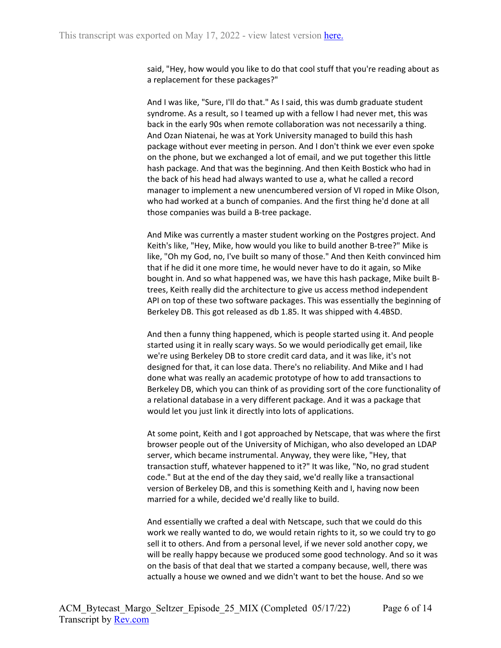said, "Hey, how would you like to do that cool stuff that you're reading about as a replacement for these packages?"

And I was like, "Sure, I'll do that." As I said, this was dumb graduate student syndrome. As a result, so I teamed up with a fellow I had never met, this was back in the early 90s when remote collaboration was not necessarily a thing. And Ozan Niatenai, he was at York University managed to build this hash package without ever meeting in person. And I don't think we ever even spoke on the phone, but we exchanged a lot of email, and we put together this little hash package. And that was the beginning. And then Keith Bostick who had in the back of his head had always wanted to use a, what he called a record manager to implement a new unencumbered version of VI roped in Mike Olson, who had worked at a bunch of companies. And the first thing he'd done at all those companies was build a B-tree package.

And Mike was currently a master student working on the Postgres project. And Keith's like, "Hey, Mike, how would you like to build another B-tree?" Mike is like, "Oh my God, no, I've built so many of those." And then Keith convinced him that if he did it one more time, he would never have to do it again, so Mike bought in. And so what happened was, we have this hash package, Mike built Btrees, Keith really did the architecture to give us access method independent API on top of these two software packages. This was essentially the beginning of Berkeley DB. This got released as db 1.85. It was shipped with 4.4BSD.

And then a funny thing happened, which is people started using it. And people started using it in really scary ways. So we would periodically get email, like we're using Berkeley DB to store credit card data, and it was like, it's not designed for that, it can lose data. There's no reliability. And Mike and I had done what was really an academic prototype of how to add transactions to Berkeley DB, which you can think of as providing sort of the core functionality of a relational database in a very different package. And it was a package that would let you just link it directly into lots of applications.

At some point, Keith and I got approached by Netscape, that was where the first browser people out of the University of Michigan, who also developed an LDAP server, which became instrumental. Anyway, they were like, "Hey, that transaction stuff, whatever happened to it?" It was like, "No, no grad student code." But at the end of the day they said, we'd really like a transactional version of Berkeley DB, and this is something Keith and I, having now been married for a while, decided we'd really like to build.

And essentially we crafted a deal with Netscape, such that we could do this work we really wanted to do, we would retain rights to it, so we could try to go sell it to others. And from a personal level, if we never sold another copy, we will be really happy because we produced some good technology. And so it was on the basis of that deal that we started a company because, well, there was actually a house we owned and we didn't want to bet the house. And so we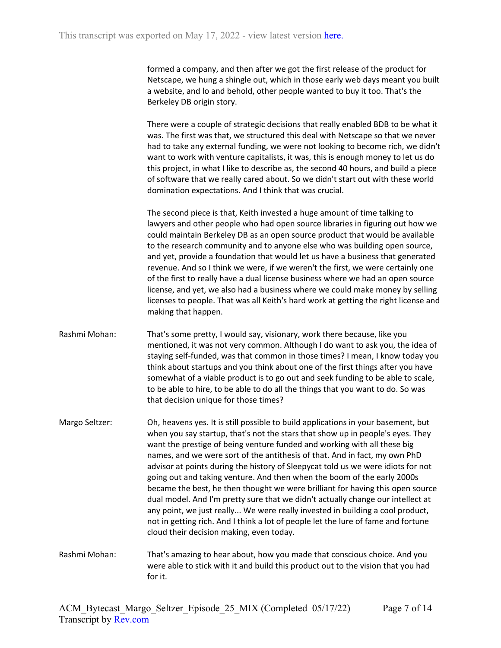formed a company, and then after we got the first release of the product for Netscape, we hung a shingle out, which in those early web days meant you built a website, and lo and behold, other people wanted to buy it too. That's the Berkeley DB origin story.

There were a couple of strategic decisions that really enabled BDB to be what it was. The first was that, we structured this deal with Netscape so that we never had to take any external funding, we were not looking to become rich, we didn't want to work with venture capitalists, it was, this is enough money to let us do this project, in what I like to describe as, the second 40 hours, and build a piece of software that we really cared about. So we didn't start out with these world domination expectations. And I think that was crucial.

The second piece is that, Keith invested a huge amount of time talking to lawyers and other people who had open source libraries in figuring out how we could maintain Berkeley DB as an open source product that would be available to the research community and to anyone else who was building open source, and yet, provide a foundation that would let us have a business that generated revenue. And so I think we were, if we weren't the first, we were certainly one of the first to really have a dual license business where we had an open source license, and yet, we also had a business where we could make money by selling licenses to people. That was all Keith's hard work at getting the right license and making that happen.

- Rashmi Mohan: That's some pretty, I would say, visionary, work there because, like you mentioned, it was not very common. Although I do want to ask you, the idea of staying self-funded, was that common in those times? I mean, I know today you think about startups and you think about one of the first things after you have somewhat of a viable product is to go out and seek funding to be able to scale, to be able to hire, to be able to do all the things that you want to do. So was that decision unique for those times?
- Margo Seltzer: Oh, heavens yes. It is still possible to build applications in your basement, but when you say startup, that's not the stars that show up in people's eyes. They want the prestige of being venture funded and working with all these big names, and we were sort of the antithesis of that. And in fact, my own PhD advisor at points during the history of Sleepycat told us we were idiots for not going out and taking venture. And then when the boom of the early 2000s became the best, he then thought we were brilliant for having this open source dual model. And I'm pretty sure that we didn't actually change our intellect at any point, we just really... We were really invested in building a cool product, not in getting rich. And I think a lot of people let the lure of fame and fortune cloud their decision making, even today.
- Rashmi Mohan: That's amazing to hear about, how you made that conscious choice. And you were able to stick with it and build this product out to the vision that you had for it.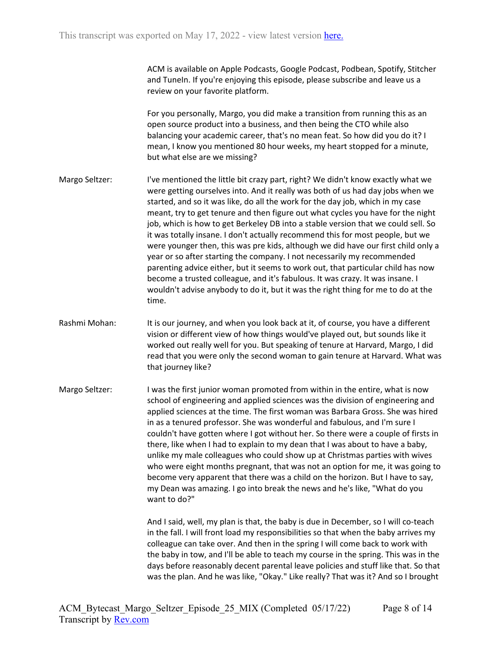ACM is available on Apple Podcasts, Google Podcast, Podbean, Spotify, Stitcher and TuneIn. If you're enjoying this episode, please subscribe and leave us a review on your favorite platform.

For you personally, Margo, you did make a transition from running this as an open source product into a business, and then being the CTO while also balancing your academic career, that's no mean feat. So how did you do it? I mean, I know you mentioned 80 hour weeks, my heart stopped for a minute, but what else are we missing?

- Margo Seltzer: I've mentioned the little bit crazy part, right? We didn't know exactly what we were getting ourselves into. And it really was both of us had day jobs when we started, and so it was like, do all the work for the day job, which in my case meant, try to get tenure and then figure out what cycles you have for the night job, which is how to get Berkeley DB into a stable version that we could sell. So it was totally insane. I don't actually recommend this for most people, but we were younger then, this was pre kids, although we did have our first child only a year or so after starting the company. I not necessarily my recommended parenting advice either, but it seems to work out, that particular child has now become a trusted colleague, and it's fabulous. It was crazy. It was insane. I wouldn't advise anybody to do it, but it was the right thing for me to do at the time.
- Rashmi Mohan: It is our journey, and when you look back at it, of course, you have a different vision or different view of how things would've played out, but sounds like it worked out really well for you. But speaking of tenure at Harvard, Margo, I did read that you were only the second woman to gain tenure at Harvard. What was that journey like?
- Margo Seltzer: I was the first junior woman promoted from within in the entire, what is now school of engineering and applied sciences was the division of engineering and applied sciences at the time. The first woman was Barbara Gross. She was hired in as a tenured professor. She was wonderful and fabulous, and I'm sure I couldn't have gotten where I got without her. So there were a couple of firsts in there, like when I had to explain to my dean that I was about to have a baby, unlike my male colleagues who could show up at Christmas parties with wives who were eight months pregnant, that was not an option for me, it was going to become very apparent that there was a child on the horizon. But I have to say, my Dean was amazing. I go into break the news and he's like, "What do you want to do?"

And I said, well, my plan is that, the baby is due in December, so I will co-teach in the fall. I will front load my responsibilities so that when the baby arrives my colleague can take over. And then in the spring I will come back to work with the baby in tow, and I'll be able to teach my course in the spring. This was in the days before reasonably decent parental leave policies and stuff like that. So that was the plan. And he was like, "Okay." Like really? That was it? And so I brought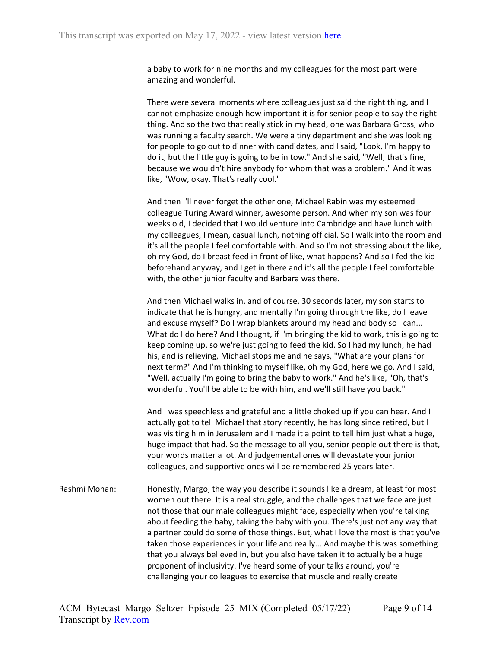a baby to work for nine months and my colleagues for the most part were amazing and wonderful.

There were several moments where colleagues just said the right thing, and I cannot emphasize enough how important it is for senior people to say the right thing. And so the two that really stick in my head, one was Barbara Gross, who was running a faculty search. We were a tiny department and she was looking for people to go out to dinner with candidates, and I said, "Look, I'm happy to do it, but the little guy is going to be in tow." And she said, "Well, that's fine, because we wouldn't hire anybody for whom that was a problem." And it was like, "Wow, okay. That's really cool."

And then I'll never forget the other one, Michael Rabin was my esteemed colleague Turing Award winner, awesome person. And when my son was four weeks old, I decided that I would venture into Cambridge and have lunch with my colleagues, I mean, casual lunch, nothing official. So I walk into the room and it's all the people I feel comfortable with. And so I'm not stressing about the like, oh my God, do I breast feed in front of like, what happens? And so I fed the kid beforehand anyway, and I get in there and it's all the people I feel comfortable with, the other junior faculty and Barbara was there.

And then Michael walks in, and of course, 30 seconds later, my son starts to indicate that he is hungry, and mentally I'm going through the like, do I leave and excuse myself? Do I wrap blankets around my head and body so I can... What do I do here? And I thought, if I'm bringing the kid to work, this is going to keep coming up, so we're just going to feed the kid. So I had my lunch, he had his, and is relieving, Michael stops me and he says, "What are your plans for next term?" And I'm thinking to myself like, oh my God, here we go. And I said, "Well, actually I'm going to bring the baby to work." And he's like, "Oh, that's wonderful. You'll be able to be with him, and we'll still have you back."

And I was speechless and grateful and a little choked up if you can hear. And I actually got to tell Michael that story recently, he has long since retired, but I was visiting him in Jerusalem and I made it a point to tell him just what a huge, huge impact that had. So the message to all you, senior people out there is that, your words matter a lot. And judgemental ones will devastate your junior colleagues, and supportive ones will be remembered 25 years later.

Rashmi Mohan: Honestly, Margo, the way you describe it sounds like a dream, at least for most women out there. It is a real struggle, and the challenges that we face are just not those that our male colleagues might face, especially when you're talking about feeding the baby, taking the baby with you. There's just not any way that a partner could do some of those things. But, what I love the most is that you've taken those experiences in your life and really... And maybe this was something that you always believed in, but you also have taken it to actually be a huge proponent of inclusivity. I've heard some of your talks around, you're challenging your colleagues to exercise that muscle and really create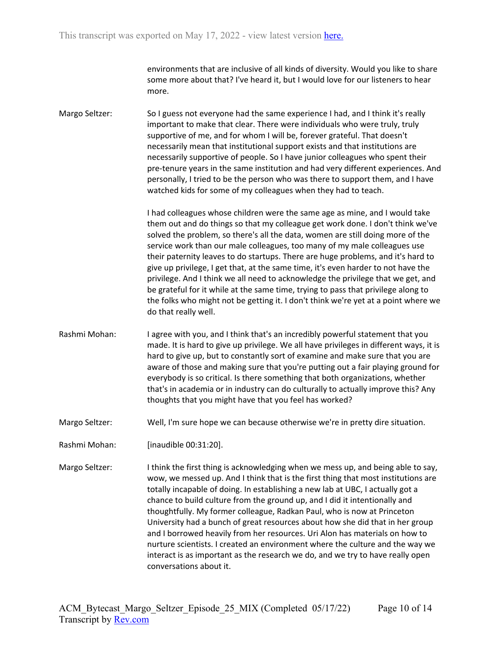environments that are inclusive of all kinds of diversity. Would you like to share some more about that? I've heard it, but I would love for our listeners to hear more.

Margo Seltzer: So I guess not everyone had the same experience I had, and I think it's really important to make that clear. There were individuals who were truly, truly supportive of me, and for whom I will be, forever grateful. That doesn't necessarily mean that institutional support exists and that institutions are necessarily supportive of people. So I have junior colleagues who spent their pre-tenure years in the same institution and had very different experiences. And personally, I tried to be the person who was there to support them, and I have watched kids for some of my colleagues when they had to teach.

> I had colleagues whose children were the same age as mine, and I would take them out and do things so that my colleague get work done. I don't think we've solved the problem, so there's all the data, women are still doing more of the service work than our male colleagues, too many of my male colleagues use their paternity leaves to do startups. There are huge problems, and it's hard to give up privilege, I get that, at the same time, it's even harder to not have the privilege. And I think we all need to acknowledge the privilege that we get, and be grateful for it while at the same time, trying to pass that privilege along to the folks who might not be getting it. I don't think we're yet at a point where we do that really well.

- Rashmi Mohan: I agree with you, and I think that's an incredibly powerful statement that you made. It is hard to give up privilege. We all have privileges in different ways, it is hard to give up, but to constantly sort of examine and make sure that you are aware of those and making sure that you're putting out a fair playing ground for everybody is so critical. Is there something that both organizations, whether that's in academia or in industry can do culturally to actually improve this? Any thoughts that you might have that you feel has worked?
- Margo Seltzer: Well, I'm sure hope we can because otherwise we're in pretty dire situation.
- Rashmi Mohan: [inaudible 00:31:20].
- Margo Seltzer: I think the first thing is acknowledging when we mess up, and being able to say, wow, we messed up. And I think that is the first thing that most institutions are totally incapable of doing. In establishing a new lab at UBC, I actually got a chance to build culture from the ground up, and I did it intentionally and thoughtfully. My former colleague, Radkan Paul, who is now at Princeton University had a bunch of great resources about how she did that in her group and I borrowed heavily from her resources. Uri Alon has materials on how to nurture scientists. I created an environment where the culture and the way we interact is as important as the research we do, and we try to have really open conversations about it.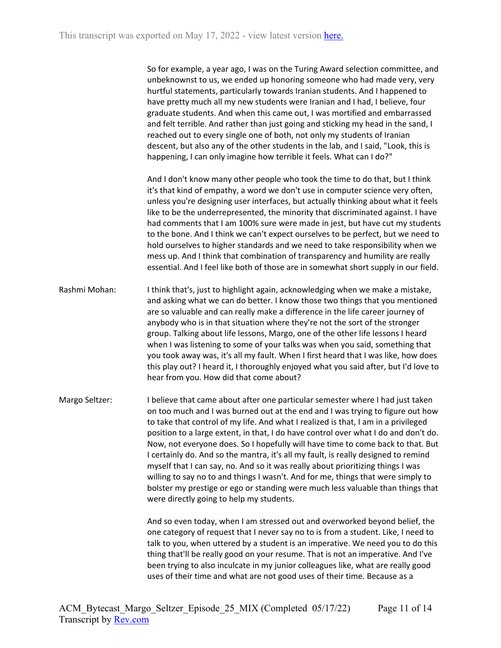So for example, a year ago, I was on the Turing Award selection committee, and unbeknownst to us, we ended up honoring someone who had made very, very hurtful statements, particularly towards Iranian students. And I happened to have pretty much all my new students were Iranian and I had, I believe, four graduate students. And when this came out, I was mortified and embarrassed and felt terrible. And rather than just going and sticking my head in the sand, I reached out to every single one of both, not only my students of Iranian descent, but also any of the other students in the lab, and I said, "Look, this is happening, I can only imagine how terrible it feels. What can I do?"

And I don't know many other people who took the time to do that, but I think it's that kind of empathy, a word we don't use in computer science very often, unless you're designing user interfaces, but actually thinking about what it feels like to be the underrepresented, the minority that discriminated against. I have had comments that I am 100% sure were made in jest, but have cut my students to the bone. And I think we can't expect ourselves to be perfect, but we need to hold ourselves to higher standards and we need to take responsibility when we mess up. And I think that combination of transparency and humility are really essential. And I feel like both of those are in somewhat short supply in our field.

- Rashmi Mohan: I think that's, just to highlight again, acknowledging when we make a mistake, and asking what we can do better. I know those two things that you mentioned are so valuable and can really make a difference in the life career journey of anybody who is in that situation where they're not the sort of the stronger group. Talking about life lessons, Margo, one of the other life lessons I heard when I was listening to some of your talks was when you said, something that you took away was, it's all my fault. When I first heard that I was like, how does this play out? I heard it, I thoroughly enjoyed what you said after, but I'd love to hear from you. How did that come about?
- Margo Seltzer: I believe that came about after one particular semester where I had just taken on too much and I was burned out at the end and I was trying to figure out how to take that control of my life. And what I realized is that, I am in a privileged position to a large extent, in that, I do have control over what I do and don't do. Now, not everyone does. So I hopefully will have time to come back to that. But I certainly do. And so the mantra, it's all my fault, is really designed to remind myself that I can say, no. And so it was really about prioritizing things I was willing to say no to and things I wasn't. And for me, things that were simply to bolster my prestige or ego or standing were much less valuable than things that were directly going to help my students.

And so even today, when I am stressed out and overworked beyond belief, the one category of request that I never say no to is from a student. Like, I need to talk to you, when uttered by a student is an imperative. We need you to do this thing that'll be really good on your resume. That is not an imperative. And I've been trying to also inculcate in my junior colleagues like, what are really good uses of their time and what are not good uses of their time. Because as a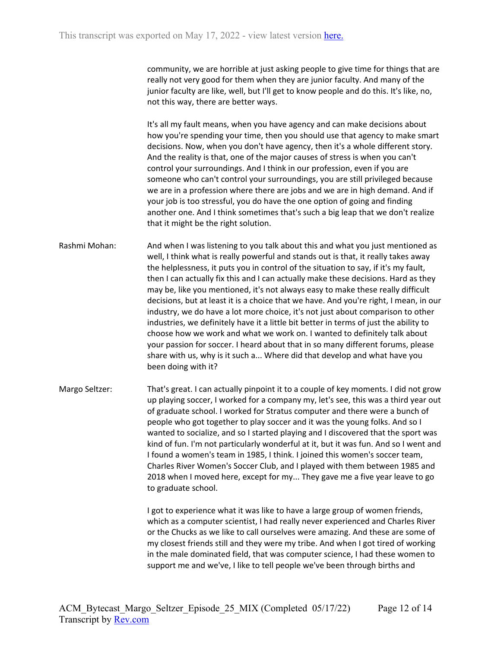community, we are horrible at just asking people to give time for things that are really not very good for them when they are junior faculty. And many of the junior faculty are like, well, but I'll get to know people and do this. It's like, no, not this way, there are better ways.

It's all my fault means, when you have agency and can make decisions about how you're spending your time, then you should use that agency to make smart decisions. Now, when you don't have agency, then it's a whole different story. And the reality is that, one of the major causes of stress is when you can't control your surroundings. And I think in our profession, even if you are someone who can't control your surroundings, you are still privileged because we are in a profession where there are jobs and we are in high demand. And if your job is too stressful, you do have the one option of going and finding another one. And I think sometimes that's such a big leap that we don't realize that it might be the right solution.

Rashmi Mohan: And when I was listening to you talk about this and what you just mentioned as well, I think what is really powerful and stands out is that, it really takes away the helplessness, it puts you in control of the situation to say, if it's my fault, then I can actually fix this and I can actually make these decisions. Hard as they may be, like you mentioned, it's not always easy to make these really difficult decisions, but at least it is a choice that we have. And you're right, I mean, in our industry, we do have a lot more choice, it's not just about comparison to other industries, we definitely have it a little bit better in terms of just the ability to choose how we work and what we work on. I wanted to definitely talk about your passion for soccer. I heard about that in so many different forums, please share with us, why is it such a... Where did that develop and what have you been doing with it?

Margo Seltzer: That's great. I can actually pinpoint it to a couple of key moments. I did not grow up playing soccer, I worked for a company my, let's see, this was a third year out of graduate school. I worked for Stratus computer and there were a bunch of people who got together to play soccer and it was the young folks. And so I wanted to socialize, and so I started playing and I discovered that the sport was kind of fun. I'm not particularly wonderful at it, but it was fun. And so I went and I found a women's team in 1985, I think. I joined this women's soccer team, Charles River Women's Soccer Club, and I played with them between 1985 and 2018 when I moved here, except for my... They gave me a five year leave to go to graduate school.

> I got to experience what it was like to have a large group of women friends, which as a computer scientist, I had really never experienced and Charles River or the Chucks as we like to call ourselves were amazing. And these are some of my closest friends still and they were my tribe. And when I got tired of working in the male dominated field, that was computer science, I had these women to support me and we've, I like to tell people we've been through births and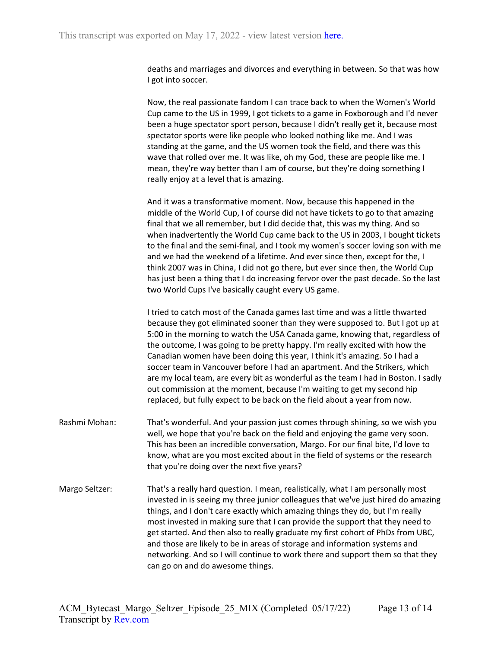deaths and marriages and divorces and everything in between. So that was how I got into soccer.

Now, the real passionate fandom I can trace back to when the Women's World Cup came to the US in 1999, I got tickets to a game in Foxborough and I'd never been a huge spectator sport person, because I didn't really get it, because most spectator sports were like people who looked nothing like me. And I was standing at the game, and the US women took the field, and there was this wave that rolled over me. It was like, oh my God, these are people like me. I mean, they're way better than I am of course, but they're doing something I really enjoy at a level that is amazing.

And it was a transformative moment. Now, because this happened in the middle of the World Cup, I of course did not have tickets to go to that amazing final that we all remember, but I did decide that, this was my thing. And so when inadvertently the World Cup came back to the US in 2003, I bought tickets to the final and the semi-final, and I took my women's soccer loving son with me and we had the weekend of a lifetime. And ever since then, except for the, I think 2007 was in China, I did not go there, but ever since then, the World Cup has just been a thing that I do increasing fervor over the past decade. So the last two World Cups I've basically caught every US game.

I tried to catch most of the Canada games last time and was a little thwarted because they got eliminated sooner than they were supposed to. But I got up at 5:00 in the morning to watch the USA Canada game, knowing that, regardless of the outcome, I was going to be pretty happy. I'm really excited with how the Canadian women have been doing this year, I think it's amazing. So I had a soccer team in Vancouver before I had an apartment. And the Strikers, which are my local team, are every bit as wonderful as the team I had in Boston. I sadly out commission at the moment, because I'm waiting to get my second hip replaced, but fully expect to be back on the field about a year from now.

- Rashmi Mohan: That's wonderful. And your passion just comes through shining, so we wish you well, we hope that you're back on the field and enjoying the game very soon. This has been an incredible conversation, Margo. For our final bite, I'd love to know, what are you most excited about in the field of systems or the research that you're doing over the next five years?
- Margo Seltzer: That's a really hard question. I mean, realistically, what I am personally most invested in is seeing my three junior colleagues that we've just hired do amazing things, and I don't care exactly which amazing things they do, but I'm really most invested in making sure that I can provide the support that they need to get started. And then also to really graduate my first cohort of PhDs from UBC, and those are likely to be in areas of storage and information systems and networking. And so I will continue to work there and support them so that they can go on and do awesome things.